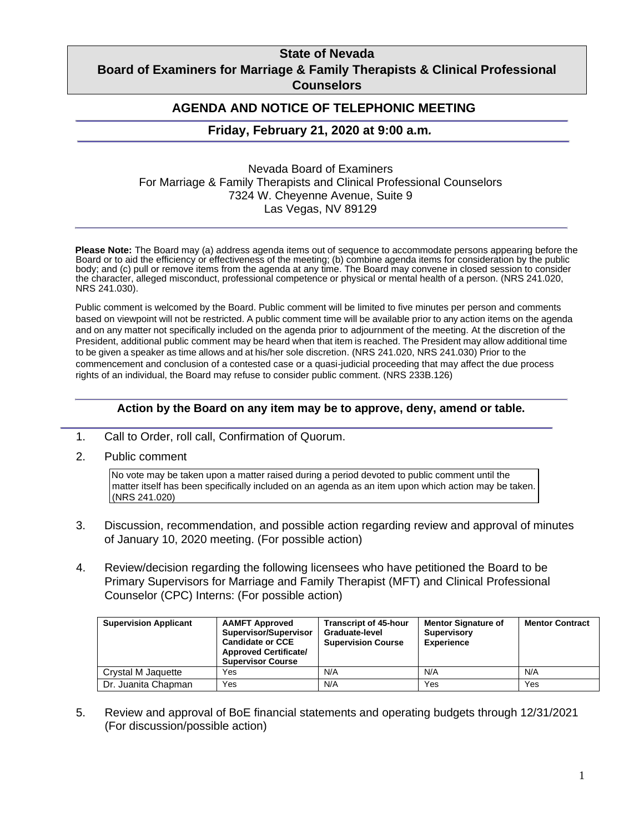## **State of Nevada Board of Examiners for Marriage & Family Therapists & Clinical Professional Counselors**

### **AGENDA AND NOTICE OF TELEPHONIC MEETING**

#### **Friday, February 21, 2020 at 9:00 a.m***.*

Nevada Board of Examiners For Marriage & Family Therapists and Clinical Professional Counselors 7324 W. Cheyenne Avenue, Suite 9 Las Vegas, NV 89129

**Please Note:** The Board may (a) address agenda items out of sequence to accommodate persons appearing before the Board or to aid the efficiency or effectiveness of the meeting; (b) combine agenda items for consideration by the public body; and (c) pull or remove items from the agenda at any time. The Board may convene in closed session to consider the character, alleged misconduct, professional competence or physical or mental health of a person. (NRS 241.020, NRS 241.030).

Public comment is welcomed by the Board. Public comment will be limited to five minutes per person and comments based on viewpoint will not be restricted. A public comment time will be available prior to any action items on the agenda and on any matter not specifically included on the agenda prior to adjournment of the meeting. At the discretion of the President, additional public comment may be heard when that item is reached. The President may allow additional time to be given a speaker as time allows and at his/her sole discretion. (NRS 241.020, NRS 241.030) Prior to the commencement and conclusion of a contested case or a quasi-judicial proceeding that may affect the due process rights of an individual, the Board may refuse to consider public comment. (NRS 233B.126)

#### **Action by the Board on any item may be to approve, deny, amend or table.**

- 1. Call to Order, roll call, Confirmation of Quorum.
- 2. Public comment

No vote may be taken upon a matter raised during a period devoted to public comment until the matter itself has been specifically included on an agenda as an item upon which action may be taken. (NRS 241.020)

- 3. Discussion, recommendation, and possible action regarding review and approval of minutes of January 10, 2020 meeting. (For possible action)
- 4. Review/decision regarding the following licensees who have petitioned the Board to be Primary Supervisors for Marriage and Family Therapist (MFT) and Clinical Professional Counselor (CPC) Interns: (For possible action)

| <b>Supervision Applicant</b> | <b>AAMFT Approved</b><br>Supervisor/Supervisor<br><b>Candidate or CCE</b><br><b>Approved Certificate/</b><br><b>Supervisor Course</b> | <b>Transcript of 45-hour</b><br>Graduate-level<br><b>Supervision Course</b> | <b>Mentor Signature of</b><br><b>Supervisory</b><br><b>Experience</b> | <b>Mentor Contract</b> |
|------------------------------|---------------------------------------------------------------------------------------------------------------------------------------|-----------------------------------------------------------------------------|-----------------------------------------------------------------------|------------------------|
| Crystal M Jaquette           | Yes                                                                                                                                   | N/A                                                                         | N/A                                                                   | N/A                    |
| Dr. Juanita Chapman          | Yes                                                                                                                                   | N/A                                                                         | Yes                                                                   | Yes                    |

5. Review and approval of BoE financial statements and operating budgets through 12/31/2021 (For discussion/possible action)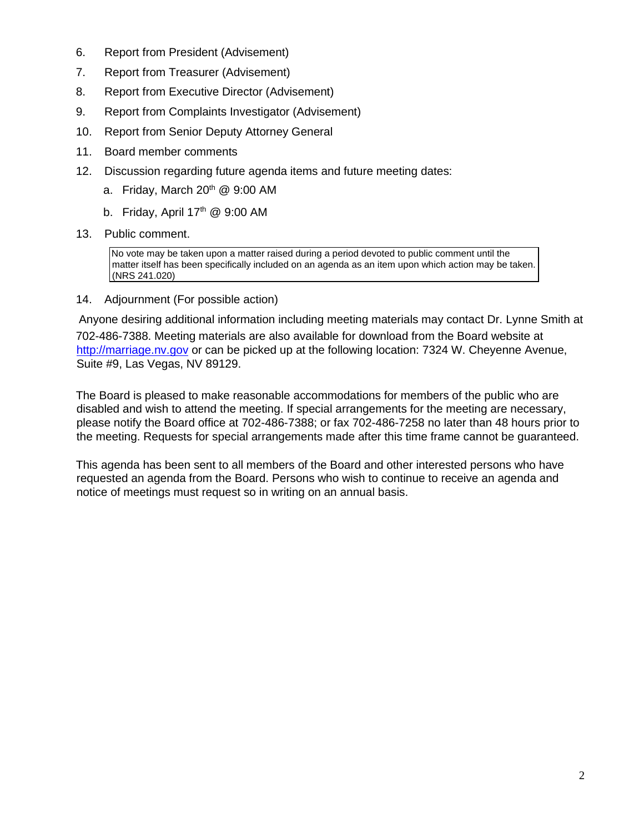- 6. Report from President (Advisement)
- 7. Report from Treasurer (Advisement)
- 8. Report from Executive Director (Advisement)
- 9. Report from Complaints Investigator (Advisement)
- 10. Report from Senior Deputy Attorney General
- 11. Board member comments
- 12. Discussion regarding future agenda items and future meeting dates:
	- a. Friday, March  $20<sup>th</sup>$  @ 9:00 AM
	- b. Friday, April  $17<sup>th</sup>$  @ 9:00 AM
- 13. Public comment.

No vote may be taken upon a matter raised during a period devoted to public comment until the matter itself has been specifically included on an agenda as an item upon which action may be taken. (NRS 241.020)

14. Adjournment (For possible action)

Anyone desiring additional information including meeting materials may contact Dr. Lynne Smith at 702-486-7388. Meeting materials are also available for download from the Board website at [http://marriage.nv.gov](http://marriage.nv.gov/) or can be picked up at the following location: 7324 W. Cheyenne Avenue, Suite #9, Las Vegas, NV 89129.

The Board is pleased to make reasonable accommodations for members of the public who are disabled and wish to attend the meeting. If special arrangements for the meeting are necessary, please notify the Board office at 702-486-7388; or fax 702-486-7258 no later than 48 hours prior to the meeting. Requests for special arrangements made after this time frame cannot be guaranteed.

This agenda has been sent to all members of the Board and other interested persons who have requested an agenda from the Board. Persons who wish to continue to receive an agenda and notice of meetings must request so in writing on an annual basis.